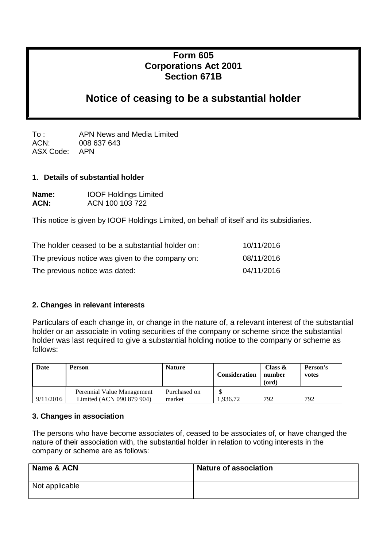# **Form 605 Corporations Act 2001 Section 671B**

# **Notice of ceasing to be a substantial holder**

To : APN News and Media Limited ACN: 008 637 643 ASX Code: APN

#### **1. Details of substantial holder**

| Name: | <b>IOOF Holdings Limited</b> |
|-------|------------------------------|
| ACN:  | ACN 100 103 722              |

This notice is given by IOOF Holdings Limited, on behalf of itself and its subsidiaries.

| The holder ceased to be a substantial holder on: | 10/11/2016 |
|--------------------------------------------------|------------|
| The previous notice was given to the company on: | 08/11/2016 |
| The previous notice was dated:                   | 04/11/2016 |

### **2. Changes in relevant interests**

Particulars of each change in, or change in the nature of, a relevant interest of the substantial holder or an associate in voting securities of the company or scheme since the substantial holder was last required to give a substantial holding notice to the company or scheme as follows:

| Date      | <b>Person</b>                                           | <b>Nature</b>          | <b>Consideration</b> | Class $\&$<br>number<br>(ord) | Person's<br>votes |
|-----------|---------------------------------------------------------|------------------------|----------------------|-------------------------------|-------------------|
| 9/11/2016 | Perennial Value Management<br>Limited (ACN 090 879 904) | Purchased on<br>market | .936.72              | 792                           | 792               |

#### **3. Changes in association**

The persons who have become associates of, ceased to be associates of, or have changed the nature of their association with, the substantial holder in relation to voting interests in the company or scheme are as follows:

| Name & ACN     | <b>Nature of association</b> |
|----------------|------------------------------|
| Not applicable |                              |